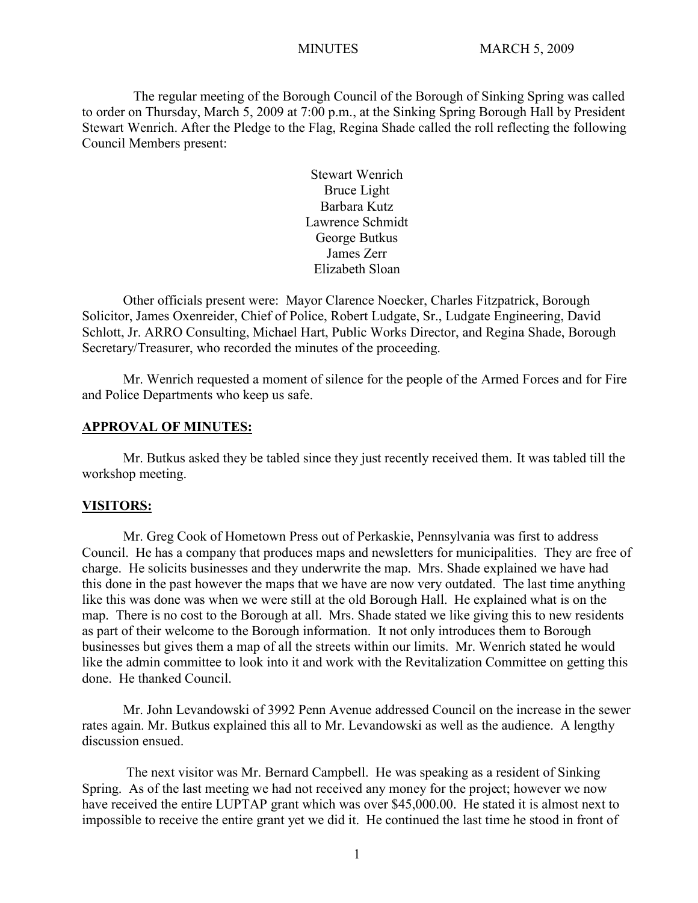The regular meeting of the Borough Council of the Borough of Sinking Spring was called to order on Thursday, March 5, 2009 at 7:00 p.m., at the Sinking Spring Borough Hall by President Stewart Wenrich. After the Pledge to the Flag, Regina Shade called the roll reflecting the following Council Members present:

> Stewart Wenrich Bruce Light Barbara Kutz Lawrence Schmidt George Butkus James Zerr Elizabeth Sloan

Other officials present were: Mayor Clarence Noecker, Charles Fitzpatrick, Borough Solicitor, James Oxenreider, Chief of Police, Robert Ludgate, Sr., Ludgate Engineering, David Schlott, Jr. ARRO Consulting, Michael Hart, Public Works Director, and Regina Shade, Borough Secretary/Treasurer, who recorded the minutes of the proceeding.

Mr. Wenrich requested a moment of silence for the people of the Armed Forces and for Fire and Police Departments who keep us safe.

#### **APPROVAL OF MINUTES:**

Mr. Butkus asked they be tabled since they just recently received them. It was tabled till the workshop meeting.

#### **VISITORS:**

Mr. Greg Cook of Hometown Press out of Perkaskie, Pennsylvania was first to address Council. He has a company that produces maps and newsletters for municipalities. They are free of charge. He solicits businesses and they underwrite the map. Mrs. Shade explained we have had this done in the past however the maps that we have are now very outdated. The last time anything like this was done was when we were still at the old Borough Hall. He explained what is on the map. There is no cost to the Borough at all. Mrs. Shade stated we like giving this to new residents as part of their welcome to the Borough information. It not only introduces them to Borough businesses but gives them a map of all the streets within our limits. Mr. Wenrich stated he would like the admin committee to look into it and work with the Revitalization Committee on getting this done. He thanked Council.

Mr. John Levandowski of 3992 Penn Avenue addressed Council on the increase in the sewer rates again. Mr. Butkus explained this all to Mr. Levandowski as well as the audience. A lengthy discussion ensued.

The next visitor was Mr. Bernard Campbell. He was speaking as a resident of Sinking Spring. As of the last meeting we had not received any money for the project; however we now have received the entire LUPTAP grant which was over \$45,000.00. He stated it is almost next to impossible to receive the entire grant yet we did it. He continued the last time he stood in front of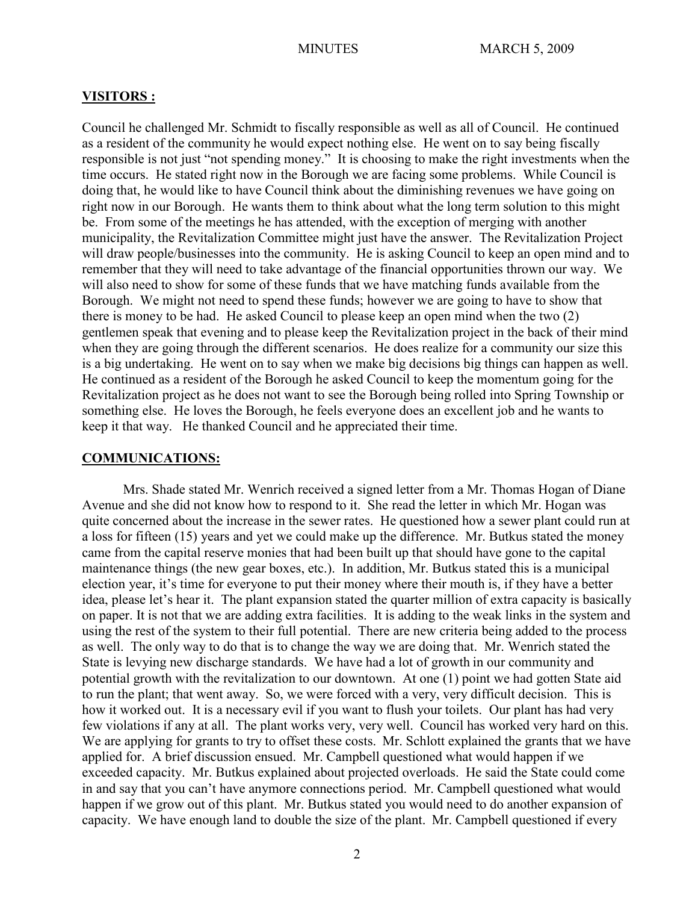#### **VISITORS :**

Council he challenged Mr. Schmidt to fiscally responsible as well as all of Council. He continued as a resident of the community he would expect nothing else. He went on to say being fiscally responsible is not just "not spending money." It is choosing to make the right investments when the time occurs. He stated right now in the Borough we are facing some problems. While Council is doing that, he would like to have Council think about the diminishing revenues we have going on right now in our Borough. He wants them to think about what the long term solution to this might be. From some of the meetings he has attended, with the exception of merging with another municipality, the Revitalization Committee might just have the answer. The Revitalization Project will draw people/businesses into the community. He is asking Council to keep an open mind and to remember that they will need to take advantage of the financial opportunities thrown our way. We will also need to show for some of these funds that we have matching funds available from the Borough. We might not need to spend these funds; however we are going to have to show that there is money to be had. He asked Council to please keep an open mind when the two (2) gentlemen speak that evening and to please keep the Revitalization project in the back of their mind when they are going through the different scenarios. He does realize for a community our size this is a big undertaking. He went on to say when we make big decisions big things can happen as well. He continued as a resident of the Borough he asked Council to keep the momentum going for the Revitalization project as he does not want to see the Borough being rolled into Spring Township or something else. He loves the Borough, he feels everyone does an excellent job and he wants to keep it that way. He thanked Council and he appreciated their time.

#### **COMMUNICATIONS:**

Mrs. Shade stated Mr. Wenrich received a signed letter from a Mr. Thomas Hogan of Diane Avenue and she did not know how to respond to it. She read the letter in which Mr. Hogan was quite concerned about the increase in the sewer rates. He questioned how a sewer plant could run at a loss for fifteen (15) years and yet we could make up the difference. Mr. Butkus stated the money came from the capital reserve monies that had been built up that should have gone to the capital maintenance things (the new gear boxes, etc.). In addition, Mr. Butkus stated this is a municipal election year, it's time for everyone to put their money where their mouth is, if they have a better idea, please let's hear it. The plant expansion stated the quarter million of extra capacity is basically on paper. It is not that we are adding extra facilities. It is adding to the weak links in the system and using the rest of the system to their full potential. There are new criteria being added to the process as well. The only way to do that is to change the way we are doing that. Mr. Wenrich stated the State is levying new discharge standards. We have had a lot of growth in our community and potential growth with the revitalization to our downtown. At one (1) point we had gotten State aid to run the plant; that went away. So, we were forced with a very, very difficult decision. This is how it worked out. It is a necessary evil if you want to flush your toilets. Our plant has had very few violations if any at all. The plant works very, very well. Council has worked very hard on this. We are applying for grants to try to offset these costs. Mr. Schlott explained the grants that we have applied for. A brief discussion ensued. Mr. Campbell questioned what would happen if we exceeded capacity. Mr. Butkus explained about projected overloads. He said the State could come in and say that you can't have anymore connections period. Mr. Campbell questioned what would happen if we grow out of this plant. Mr. Butkus stated you would need to do another expansion of capacity. We have enough land to double the size of the plant. Mr. Campbell questioned if every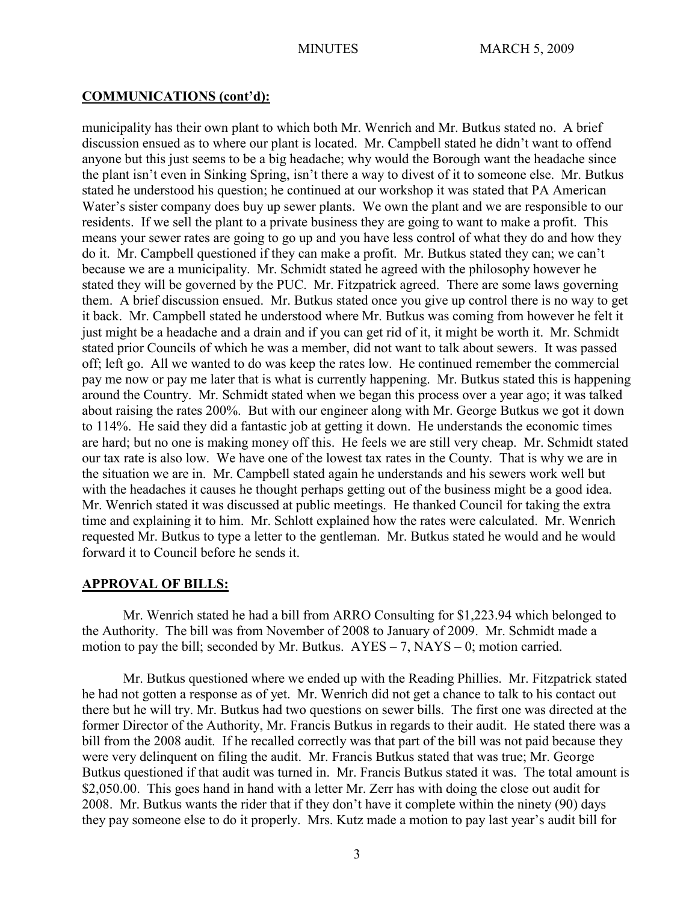## **COMMUNICATIONS (cont'd):**

municipality has their own plant to which both Mr. Wenrich and Mr. Butkus stated no. A brief discussion ensued as to where our plant is located. Mr. Campbell stated he didn't want to offend anyone but this just seems to be a big headache; why would the Borough want the headache since the plant isn't even in Sinking Spring, isn't there a way to divest of it to someone else. Mr. Butkus stated he understood his question; he continued at our workshop it was stated that PA American Water's sister company does buy up sewer plants. We own the plant and we are responsible to our residents. If we sell the plant to a private business they are going to want to make a profit. This means your sewer rates are going to go up and you have less control of what they do and how they do it. Mr. Campbell questioned if they can make a profit. Mr. Butkus stated they can; we can't because we are a municipality. Mr. Schmidt stated he agreed with the philosophy however he stated they will be governed by the PUC. Mr. Fitzpatrick agreed. There are some laws governing them. A brief discussion ensued. Mr. Butkus stated once you give up control there is no way to get it back. Mr. Campbell stated he understood where Mr. Butkus was coming from however he felt it just might be a headache and a drain and if you can get rid of it, it might be worth it. Mr. Schmidt stated prior Councils of which he was a member, did not want to talk about sewers. It was passed off; left go. All we wanted to do was keep the rates low. He continued remember the commercial pay me now or pay me later that is what is currently happening. Mr. Butkus stated this is happening around the Country. Mr. Schmidt stated when we began this process over a year ago; it was talked about raising the rates 200%. But with our engineer along with Mr. George Butkus we got it down to 114%. He said they did a fantastic job at getting it down. He understands the economic times are hard; but no one is making money off this. He feels we are still very cheap. Mr. Schmidt stated our tax rate is also low. We have one of the lowest tax rates in the County. That is why we are in the situation we are in. Mr. Campbell stated again he understands and his sewers work well but with the headaches it causes he thought perhaps getting out of the business might be a good idea. Mr. Wenrich stated it was discussed at public meetings. He thanked Council for taking the extra time and explaining it to him. Mr. Schlott explained how the rates were calculated. Mr. Wenrich requested Mr. Butkus to type a letter to the gentleman. Mr. Butkus stated he would and he would forward it to Council before he sends it.

## **APPROVAL OF BILLS:**

Mr. Wenrich stated he had a bill from ARRO Consulting for \$1,223.94 which belonged to the Authority. The bill was from November of 2008 to January of 2009. Mr. Schmidt made a motion to pay the bill; seconded by Mr. Butkus.  $AYES - 7$ ,  $NAYS - 0$ ; motion carried.

Mr. Butkus questioned where we ended up with the Reading Phillies. Mr. Fitzpatrick stated he had not gotten a response as of yet. Mr. Wenrich did not get a chance to talk to his contact out there but he will try. Mr. Butkus had two questions on sewer bills. The first one was directed at the former Director of the Authority, Mr. Francis Butkus in regards to their audit. He stated there was a bill from the 2008 audit. If he recalled correctly was that part of the bill was not paid because they were very delinquent on filing the audit. Mr. Francis Butkus stated that was true; Mr. George Butkus questioned if that audit was turned in. Mr. Francis Butkus stated it was. The total amount is \$2,050.00. This goes hand in hand with a letter Mr. Zerr has with doing the close out audit for 2008. Mr. Butkus wants the rider that if they don't have it complete within the ninety (90) days they pay someone else to do it properly. Mrs. Kutz made a motion to pay last year's audit bill for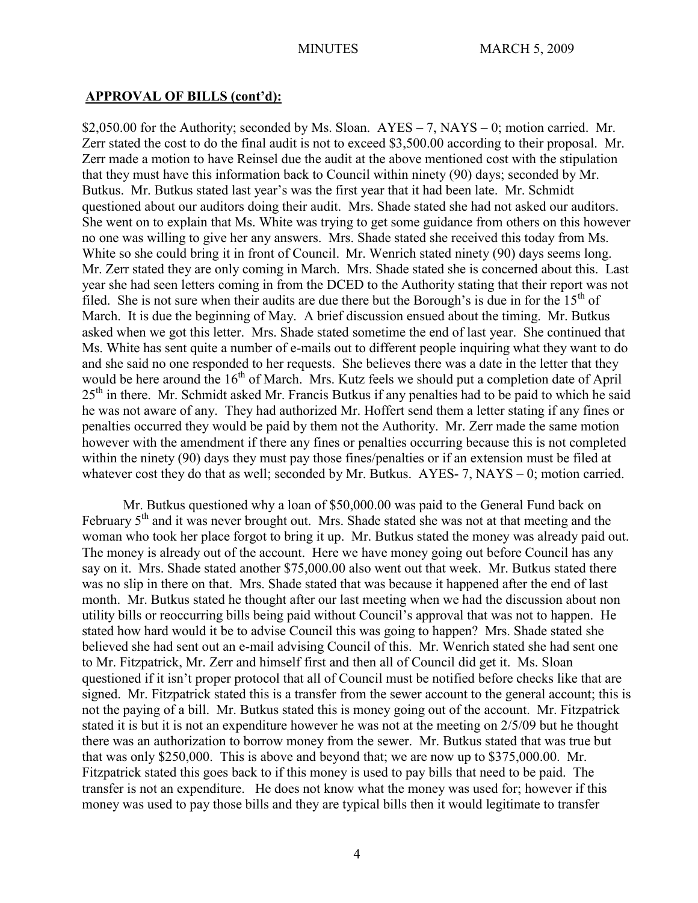# **APPROVAL OF BILLS (cont'd):**

\$2,050.00 for the Authority; seconded by Ms. Sloan.  $AYES - 7$ ,  $NAYS - 0$ ; motion carried. Mr. Zerr stated the cost to do the final audit is not to exceed \$3,500.00 according to their proposal. Mr. Zerr made a motion to have Reinsel due the audit at the above mentioned cost with the stipulation that they must have this information back to Council within ninety (90) days; seconded by Mr. Butkus. Mr. Butkus stated last year's was the first year that it had been late. Mr. Schmidt questioned about our auditors doing their audit. Mrs. Shade stated she had not asked our auditors. She went on to explain that Ms. White was trying to get some guidance from others on this however no one was willing to give her any answers. Mrs. Shade stated she received this today from Ms. White so she could bring it in front of Council. Mr. Wenrich stated ninety (90) days seems long. Mr. Zerr stated they are only coming in March. Mrs. Shade stated she is concerned about this. Last year she had seen letters coming in from the DCED to the Authority stating that their report was not filed. She is not sure when their audits are due there but the Borough's is due in for the  $15<sup>th</sup>$  of March. It is due the beginning of May. A brief discussion ensued about the timing. Mr. Butkus asked when we got this letter. Mrs. Shade stated sometime the end of last year. She continued that Ms. White has sent quite a number of e-mails out to different people inquiring what they want to do and she said no one responded to her requests. She believes there was a date in the letter that they would be here around the 16<sup>th</sup> of March. Mrs. Kutz feels we should put a completion date of April 25<sup>th</sup> in there. Mr. Schmidt asked Mr. Francis Butkus if any penalties had to be paid to which he said he was not aware of any. They had authorized Mr. Hoffert send them a letter stating if any fines or penalties occurred they would be paid by them not the Authority. Mr. Zerr made the same motion however with the amendment if there any fines or penalties occurring because this is not completed within the ninety (90) days they must pay those fines/penalties or if an extension must be filed at whatever cost they do that as well; seconded by Mr. Butkus. AYES-7, NAYS – 0; motion carried.

Mr. Butkus questioned why a loan of \$50,000.00 was paid to the General Fund back on February 5<sup>th</sup> and it was never brought out. Mrs. Shade stated she was not at that meeting and the woman who took her place forgot to bring it up. Mr. Butkus stated the money was already paid out. The money is already out of the account. Here we have money going out before Council has any say on it. Mrs. Shade stated another \$75,000.00 also went out that week. Mr. Butkus stated there was no slip in there on that. Mrs. Shade stated that was because it happened after the end of last month. Mr. Butkus stated he thought after our last meeting when we had the discussion about non utility bills or reoccurring bills being paid without Council's approval that was not to happen. He stated how hard would it be to advise Council this was going to happen? Mrs. Shade stated she believed she had sent out an e-mail advising Council of this. Mr. Wenrich stated she had sent one to Mr. Fitzpatrick, Mr. Zerr and himself first and then all of Council did get it. Ms. Sloan questioned if it isn't proper protocol that all of Council must be notified before checks like that are signed. Mr. Fitzpatrick stated this is a transfer from the sewer account to the general account; this is not the paying of a bill. Mr. Butkus stated this is money going out of the account. Mr. Fitzpatrick stated it is but it is not an expenditure however he was not at the meeting on 2/5/09 but he thought there was an authorization to borrow money from the sewer. Mr. Butkus stated that was true but that was only \$250,000. This is above and beyond that; we are now up to \$375,000.00. Mr. Fitzpatrick stated this goes back to if this money is used to pay bills that need to be paid. The transfer is not an expenditure. He does not know what the money was used for; however if this money was used to pay those bills and they are typical bills then it would legitimate to transfer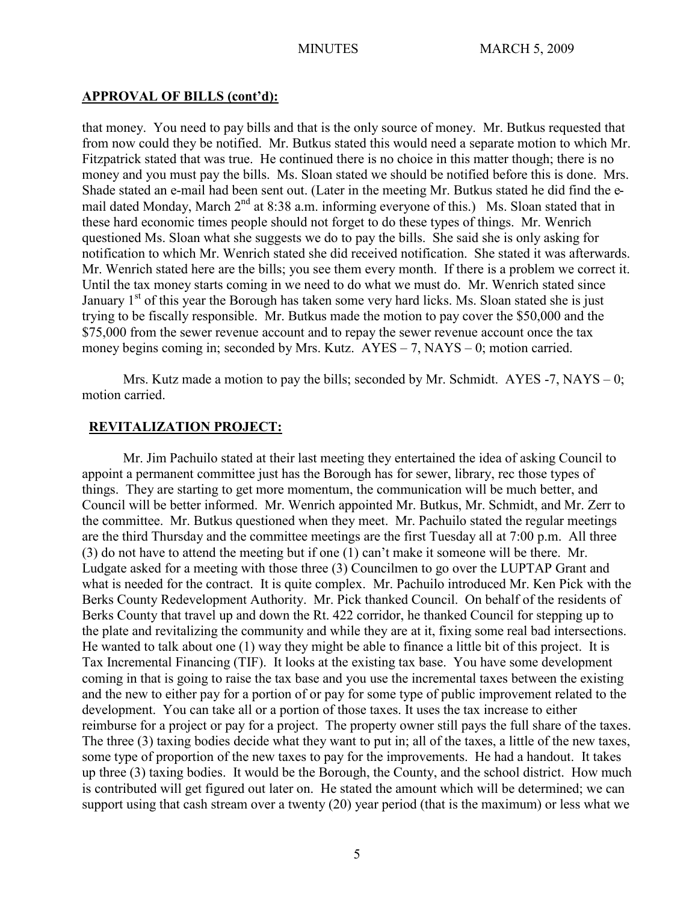#### **APPROVAL OF BILLS (cont'd):**

that money. You need to pay bills and that is the only source of money. Mr. Butkus requested that from now could they be notified. Mr. Butkus stated this would need a separate motion to which Mr. Fitzpatrick stated that was true. He continued there is no choice in this matter though; there is no money and you must pay the bills. Ms. Sloan stated we should be notified before this is done. Mrs. Shade stated an e-mail had been sent out. (Later in the meeting Mr. Butkus stated he did find the email dated Monday, March  $2^{nd}$  at 8:38 a.m. informing everyone of this.) Ms. Sloan stated that in these hard economic times people should not forget to do these types of things. Mr. Wenrich questioned Ms. Sloan what she suggests we do to pay the bills. She said she is only asking for notification to which Mr. Wenrich stated she did received notification. She stated it was afterwards. Mr. Wenrich stated here are the bills; you see them every month. If there is a problem we correct it. Until the tax money starts coming in we need to do what we must do. Mr. Wenrich stated since January 1<sup>st</sup> of this year the Borough has taken some very hard licks. Ms. Sloan stated she is just trying to be fiscally responsible. Mr. Butkus made the motion to pay cover the \$50,000 and the \$75,000 from the sewer revenue account and to repay the sewer revenue account once the tax money begins coming in; seconded by Mrs. Kutz. AYES – 7, NAYS – 0; motion carried.

Mrs. Kutz made a motion to pay the bills; seconded by Mr. Schmidt.  $AYES -7$ ,  $NAYS -0$ ; motion carried.

## **REVITALIZATION PROJECT:**

Mr. Jim Pachuilo stated at their last meeting they entertained the idea of asking Council to appoint a permanent committee just has the Borough has for sewer, library, rec those types of things. They are starting to get more momentum, the communication will be much better, and Council will be better informed. Mr. Wenrich appointed Mr. Butkus, Mr. Schmidt, and Mr. Zerr to the committee. Mr. Butkus questioned when they meet. Mr. Pachuilo stated the regular meetings are the third Thursday and the committee meetings are the first Tuesday all at 7:00 p.m. All three (3) do not have to attend the meeting but if one (1) can't make it someone will be there. Mr. Ludgate asked for a meeting with those three (3) Councilmen to go over the LUPTAP Grant and what is needed for the contract. It is quite complex. Mr. Pachuilo introduced Mr. Ken Pick with the Berks County Redevelopment Authority. Mr. Pick thanked Council. On behalf of the residents of Berks County that travel up and down the Rt. 422 corridor, he thanked Council for stepping up to the plate and revitalizing the community and while they are at it, fixing some real bad intersections. He wanted to talk about one (1) way they might be able to finance a little bit of this project. It is Tax Incremental Financing (TIF). It looks at the existing tax base. You have some development coming in that is going to raise the tax base and you use the incremental taxes between the existing and the new to either pay for a portion of or pay for some type of public improvement related to the development. You can take all or a portion of those taxes. It uses the tax increase to either reimburse for a project or pay for a project. The property owner still pays the full share of the taxes. The three (3) taxing bodies decide what they want to put in; all of the taxes, a little of the new taxes, some type of proportion of the new taxes to pay for the improvements. He had a handout. It takes up three (3) taxing bodies. It would be the Borough, the County, and the school district. How much is contributed will get figured out later on. He stated the amount which will be determined; we can support using that cash stream over a twenty (20) year period (that is the maximum) or less what we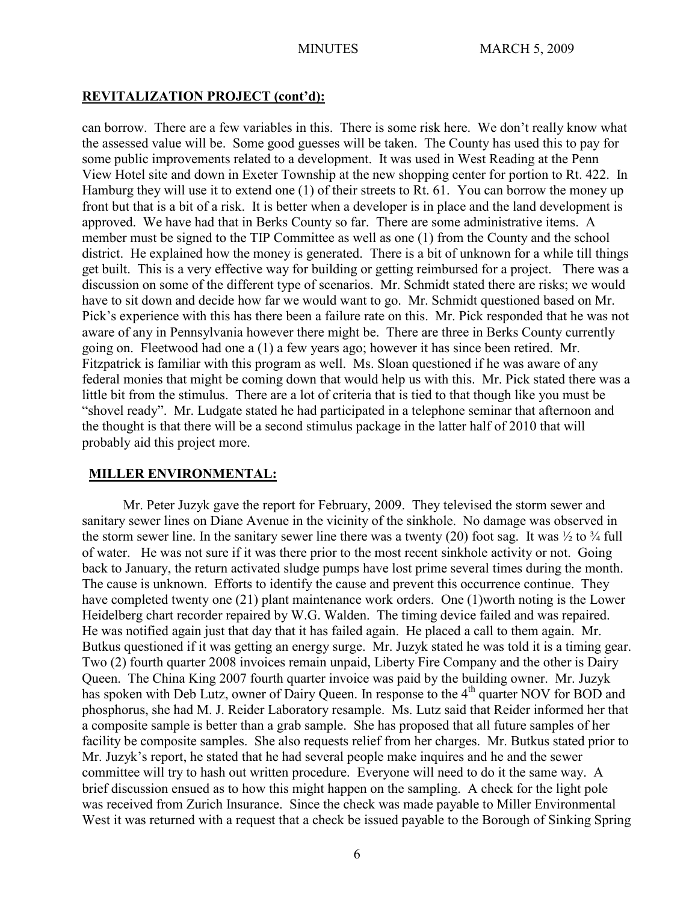#### **REVITALIZATION PROJECT (cont'd):**

can borrow. There are a few variables in this. There is some risk here. We don't really know what the assessed value will be. Some good guesses will be taken. The County has used this to pay for some public improvements related to a development. It was used in West Reading at the Penn View Hotel site and down in Exeter Township at the new shopping center for portion to Rt. 422. In Hamburg they will use it to extend one (1) of their streets to Rt. 61. You can borrow the money up front but that is a bit of a risk. It is better when a developer is in place and the land development is approved. We have had that in Berks County so far. There are some administrative items. A member must be signed to the TIP Committee as well as one (1) from the County and the school district. He explained how the money is generated. There is a bit of unknown for a while till things get built. This is a very effective way for building or getting reimbursed for a project. There was a discussion on some of the different type of scenarios. Mr. Schmidt stated there are risks; we would have to sit down and decide how far we would want to go. Mr. Schmidt questioned based on Mr. Pick's experience with this has there been a failure rate on this. Mr. Pick responded that he was not aware of any in Pennsylvania however there might be. There are three in Berks County currently going on. Fleetwood had one a (1) a few years ago; however it has since been retired. Mr. Fitzpatrick is familiar with this program as well. Ms. Sloan questioned if he was aware of any federal monies that might be coming down that would help us with this. Mr. Pick stated there was a little bit from the stimulus. There are a lot of criteria that is tied to that though like you must be "shovel ready". Mr. Ludgate stated he had participated in a telephone seminar that afternoon and the thought is that there will be a second stimulus package in the latter half of 2010 that will probably aid this project more.

#### **MILLER ENVIRONMENTAL:**

Mr. Peter Juzyk gave the report for February, 2009. They televised the storm sewer and sanitary sewer lines on Diane Avenue in the vicinity of the sinkhole. No damage was observed in the storm sewer line. In the sanitary sewer line there was a twenty (20) foot sag. It was  $\frac{1}{2}$  to  $\frac{3}{4}$  full of water. He was not sure if it was there prior to the most recent sinkhole activity or not. Going back to January, the return activated sludge pumps have lost prime several times during the month. The cause is unknown. Efforts to identify the cause and prevent this occurrence continue. They have completed twenty one (21) plant maintenance work orders. One (1)worth noting is the Lower Heidelberg chart recorder repaired by W.G. Walden. The timing device failed and was repaired. He was notified again just that day that it has failed again. He placed a call to them again. Mr. Butkus questioned if it was getting an energy surge. Mr. Juzyk stated he was told it is a timing gear. Two (2) fourth quarter 2008 invoices remain unpaid, Liberty Fire Company and the other is Dairy Queen. The China King 2007 fourth quarter invoice was paid by the building owner. Mr. Juzyk has spoken with Deb Lutz, owner of Dairy Queen. In response to the 4<sup>th</sup> quarter NOV for BOD and phosphorus, she had M. J. Reider Laboratory resample. Ms. Lutz said that Reider informed her that a composite sample is better than a grab sample. She has proposed that all future samples of her facility be composite samples. She also requests relief from her charges. Mr. Butkus stated prior to Mr. Juzyk's report, he stated that he had several people make inquires and he and the sewer committee will try to hash out written procedure. Everyone will need to do it the same way. A brief discussion ensued as to how this might happen on the sampling. A check for the light pole was received from Zurich Insurance. Since the check was made payable to Miller Environmental West it was returned with a request that a check be issued payable to the Borough of Sinking Spring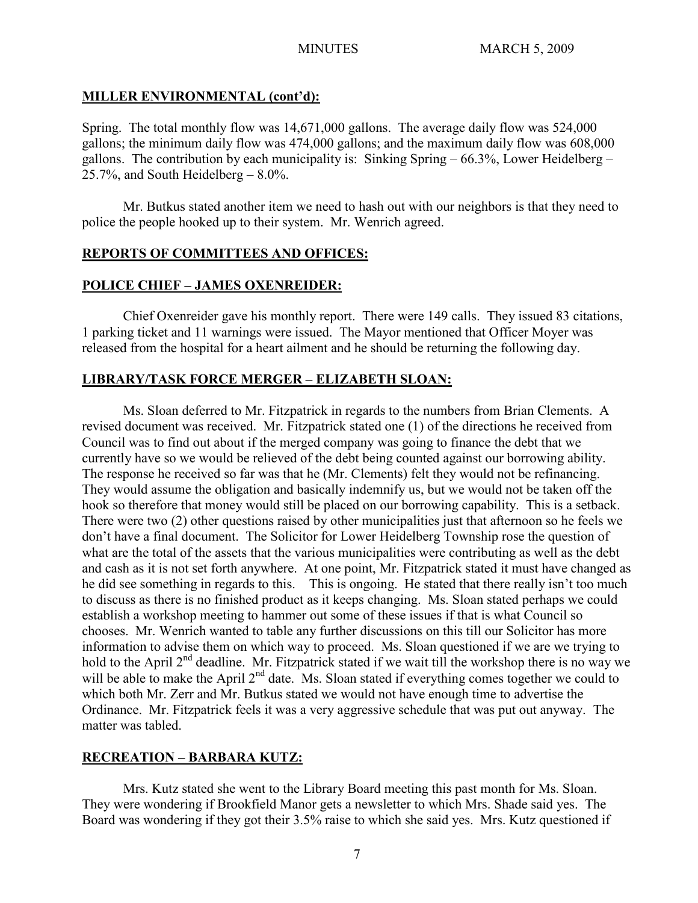# **MILLER ENVIRONMENTAL (cont'd):**

Spring. The total monthly flow was 14,671,000 gallons. The average daily flow was 524,000 gallons; the minimum daily flow was 474,000 gallons; and the maximum daily flow was 608,000 gallons. The contribution by each municipality is: Sinking Spring  $-66.3\%$ , Lower Heidelberg – 25.7%, and South Heidelberg – 8.0%.

Mr. Butkus stated another item we need to hash out with our neighbors is that they need to police the people hooked up to their system. Mr. Wenrich agreed.

# **REPORTS OF COMMITTEES AND OFFICES:**

# **POLICE CHIEF – JAMES OXENREIDER:**

Chief Oxenreider gave his monthly report. There were 149 calls. They issued 83 citations, 1 parking ticket and 11 warnings were issued. The Mayor mentioned that Officer Moyer was released from the hospital for a heart ailment and he should be returning the following day.

# **LIBRARY/TASK FORCE MERGER – ELIZABETH SLOAN:**

Ms. Sloan deferred to Mr. Fitzpatrick in regards to the numbers from Brian Clements. A revised document was received. Mr. Fitzpatrick stated one (1) of the directions he received from Council was to find out about if the merged company was going to finance the debt that we currently have so we would be relieved of the debt being counted against our borrowing ability. The response he received so far was that he (Mr. Clements) felt they would not be refinancing. They would assume the obligation and basically indemnify us, but we would not be taken off the hook so therefore that money would still be placed on our borrowing capability. This is a setback. There were two (2) other questions raised by other municipalities just that afternoon so he feels we don't have a final document. The Solicitor for Lower Heidelberg Township rose the question of what are the total of the assets that the various municipalities were contributing as well as the debt and cash as it is not set forth anywhere. At one point, Mr. Fitzpatrick stated it must have changed as he did see something in regards to this. This is ongoing. He stated that there really isn't too much to discuss as there is no finished product as it keeps changing. Ms. Sloan stated perhaps we could establish a workshop meeting to hammer out some of these issues if that is what Council so chooses. Mr. Wenrich wanted to table any further discussions on this till our Solicitor has more information to advise them on which way to proceed. Ms. Sloan questioned if we are we trying to hold to the April  $2<sup>nd</sup>$  deadline. Mr. Fitzpatrick stated if we wait till the workshop there is no way we will be able to make the April 2<sup>nd</sup> date. Ms. Sloan stated if everything comes together we could to which both Mr. Zerr and Mr. Butkus stated we would not have enough time to advertise the Ordinance. Mr. Fitzpatrick feels it was a very aggressive schedule that was put out anyway. The matter was tabled.

# **RECREATION – BARBARA KUTZ:**

Mrs. Kutz stated she went to the Library Board meeting this past month for Ms. Sloan. They were wondering if Brookfield Manor gets a newsletter to which Mrs. Shade said yes. The Board was wondering if they got their 3.5% raise to which she said yes. Mrs. Kutz questioned if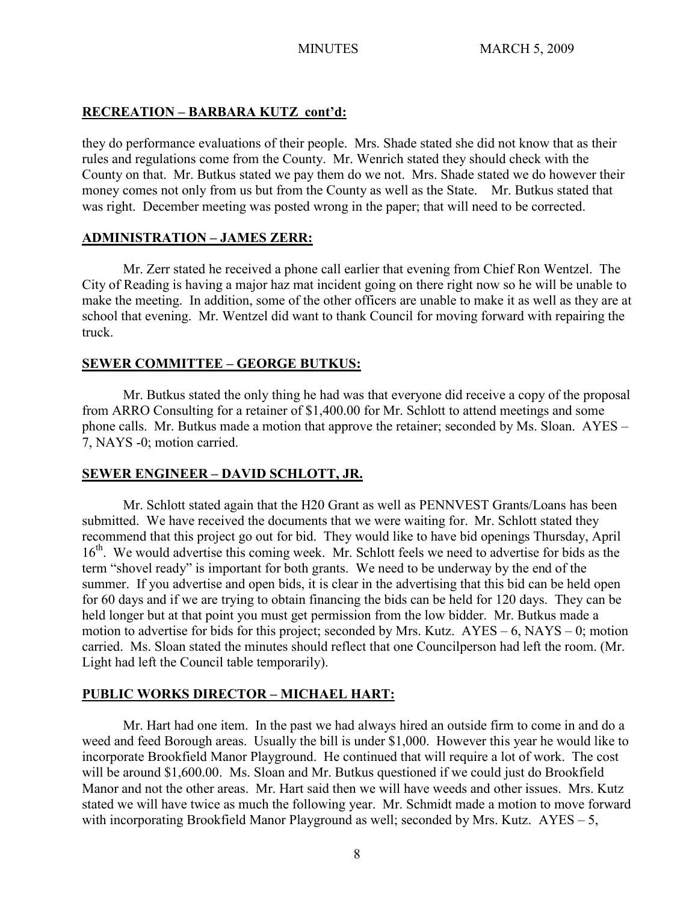# **RECREATION – BARBARA KUTZ cont'd:**

they do performance evaluations of their people. Mrs. Shade stated she did not know that as their rules and regulations come from the County. Mr. Wenrich stated they should check with the County on that. Mr. Butkus stated we pay them do we not. Mrs. Shade stated we do however their money comes not only from us but from the County as well as the State. Mr. Butkus stated that was right. December meeting was posted wrong in the paper; that will need to be corrected.

## **ADMINISTRATION – JAMES ZERR:**

Mr. Zerr stated he received a phone call earlier that evening from Chief Ron Wentzel. The City of Reading is having a major haz mat incident going on there right now so he will be unable to make the meeting. In addition, some of the other officers are unable to make it as well as they are at school that evening. Mr. Wentzel did want to thank Council for moving forward with repairing the truck.

## **SEWER COMMITTEE – GEORGE BUTKUS:**

Mr. Butkus stated the only thing he had was that everyone did receive a copy of the proposal from ARRO Consulting for a retainer of \$1,400.00 for Mr. Schlott to attend meetings and some phone calls. Mr. Butkus made a motion that approve the retainer; seconded by Ms. Sloan. AYES – 7, NAYS -0; motion carried.

# **SEWER ENGINEER – DAVID SCHLOTT, JR.**

Mr. Schlott stated again that the H20 Grant as well as PENNVEST Grants/Loans has been submitted. We have received the documents that we were waiting for. Mr. Schlott stated they recommend that this project go out for bid. They would like to have bid openings Thursday, April 16<sup>th</sup>. We would advertise this coming week. Mr. Schlott feels we need to advertise for bids as the term "shovel ready" is important for both grants. We need to be underway by the end of the summer. If you advertise and open bids, it is clear in the advertising that this bid can be held open for 60 days and if we are trying to obtain financing the bids can be held for 120 days. They can be held longer but at that point you must get permission from the low bidder. Mr. Butkus made a motion to advertise for bids for this project; seconded by Mrs. Kutz. AYES – 6, NAYS – 0; motion carried. Ms. Sloan stated the minutes should reflect that one Councilperson had left the room. (Mr. Light had left the Council table temporarily).

## **PUBLIC WORKS DIRECTOR – MICHAEL HART:**

Mr. Hart had one item. In the past we had always hired an outside firm to come in and do a weed and feed Borough areas. Usually the bill is under \$1,000. However this year he would like to incorporate Brookfield Manor Playground. He continued that will require a lot of work. The cost will be around \$1,600,00. Ms. Sloan and Mr. Butkus questioned if we could just do Brookfield Manor and not the other areas. Mr. Hart said then we will have weeds and other issues. Mrs. Kutz stated we will have twice as much the following year. Mr. Schmidt made a motion to move forward with incorporating Brookfield Manor Playground as well; seconded by Mrs. Kutz. AYES – 5,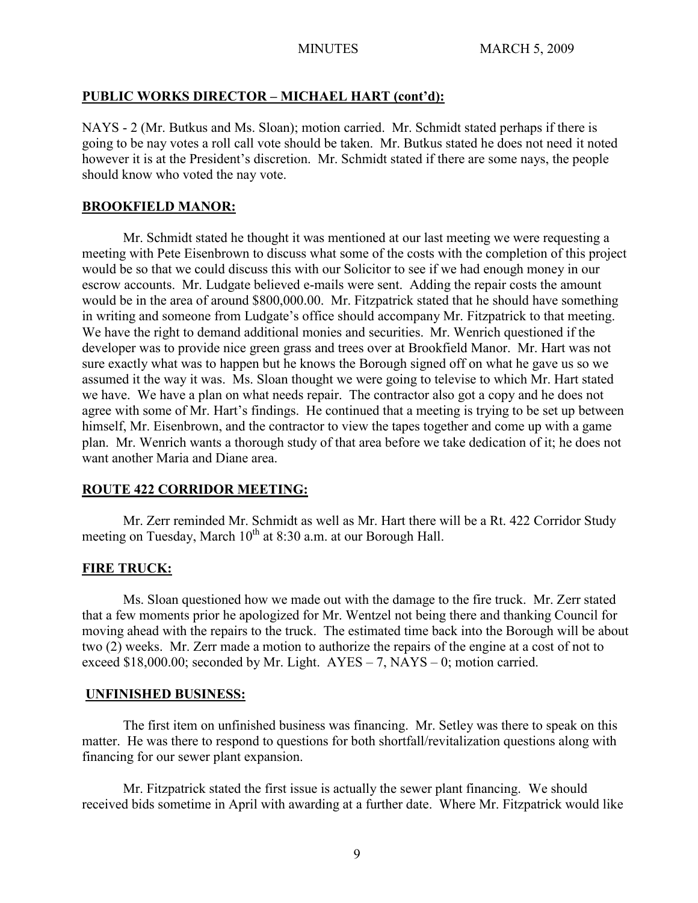# **PUBLIC WORKS DIRECTOR – MICHAEL HART (cont'd):**

NAYS - 2 (Mr. Butkus and Ms. Sloan); motion carried. Mr. Schmidt stated perhaps if there is going to be nay votes a roll call vote should be taken. Mr. Butkus stated he does not need it noted however it is at the President's discretion. Mr. Schmidt stated if there are some nays, the people should know who voted the nay vote.

## **BROOKFIELD MANOR:**

Mr. Schmidt stated he thought it was mentioned at our last meeting we were requesting a meeting with Pete Eisenbrown to discuss what some of the costs with the completion of this project would be so that we could discuss this with our Solicitor to see if we had enough money in our escrow accounts. Mr. Ludgate believed e-mails were sent. Adding the repair costs the amount would be in the area of around \$800,000.00. Mr. Fitzpatrick stated that he should have something in writing and someone from Ludgate's office should accompany Mr. Fitzpatrick to that meeting. We have the right to demand additional monies and securities. Mr. Wenrich questioned if the developer was to provide nice green grass and trees over at Brookfield Manor. Mr. Hart was not sure exactly what was to happen but he knows the Borough signed off on what he gave us so we assumed it the way it was. Ms. Sloan thought we were going to televise to which Mr. Hart stated we have. We have a plan on what needs repair. The contractor also got a copy and he does not agree with some of Mr. Hart's findings. He continued that a meeting is trying to be set up between himself, Mr. Eisenbrown, and the contractor to view the tapes together and come up with a game plan. Mr. Wenrich wants a thorough study of that area before we take dedication of it; he does not want another Maria and Diane area.

# **ROUTE 422 CORRIDOR MEETING:**

Mr. Zerr reminded Mr. Schmidt as well as Mr. Hart there will be a Rt. 422 Corridor Study meeting on Tuesday, March  $10^{th}$  at 8:30 a.m. at our Borough Hall.

# **FIRE TRUCK:**

Ms. Sloan questioned how we made out with the damage to the fire truck. Mr. Zerr stated that a few moments prior he apologized for Mr. Wentzel not being there and thanking Council for moving ahead with the repairs to the truck. The estimated time back into the Borough will be about two (2) weeks. Mr. Zerr made a motion to authorize the repairs of the engine at a cost of not to exceed  $$18,000.00$ ; seconded by Mr. Light.  $AYES - 7$ , NAYS – 0; motion carried.

## **UNFINISHED BUSINESS:**

The first item on unfinished business was financing. Mr. Setley was there to speak on this matter. He was there to respond to questions for both shortfall/revitalization questions along with financing for our sewer plant expansion.

Mr. Fitzpatrick stated the first issue is actually the sewer plant financing. We should received bids sometime in April with awarding at a further date. Where Mr. Fitzpatrick would like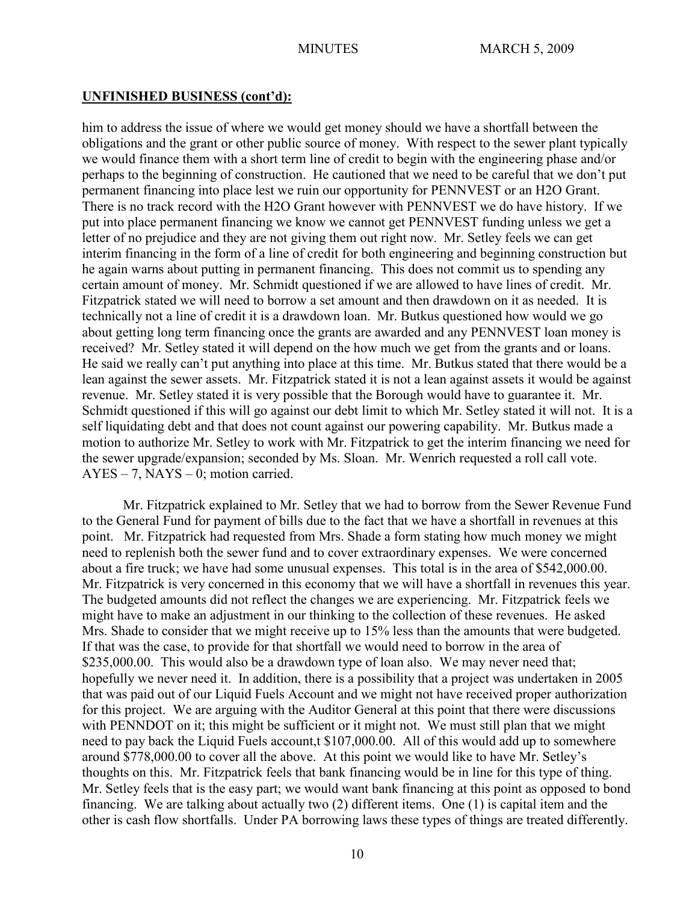#### **UNFINISHED BUSINESS (cont'd):**

him to address the issue of where we would get money should we have a shortfall between the obligations and the grant or other public source of money. With respect to the sewer plant typically we would finance them with a short term line of credit to begin with the engineering phase and/or perhaps to the beginning of construction. He cautioned that we need to be careful that we don't put permanent financing into place lest we ruin our opportunity for PENNVEST or an H2O Grant. There is no track record with the H2O Grant however with PENNVEST we do have history. If we put into place permanent financing we know we cannot get PENNVEST funding unless we get a letter of no prejudice and they are not giving them out right now. Mr. Setley feels we can get interim financing in the form of a line of credit for both engineering and beginning construction but he again warns about putting in permanent financing. This does not commit us to spending any certain amount of money. Mr. Schmidt questioned if we are allowed to have lines of credit. Mr. Fitzpatrick stated we will need to borrow a set amount and then drawdown on it as needed. It is technically not a line of credit it is a drawdown loan. Mr. Butkus questioned how would we go about getting long term financing once the grants are awarded and any PENNVEST loan money is received? Mr. Setley stated it will depend on the how much we get from the grants and or loans. He said we really can't put anything into place at this time. Mr. Butkus stated that there would be a lean against the sewer assets. Mr. Fitzpatrick stated it is not a lean against assets it would be against revenue. Mr. Setley stated it is very possible that the Borough would have to guarantee it. Mr. Schmidt questioned if this will go against our debt limit to which Mr. Setley stated it will not. It is a self liquidating debt and that does not count against our powering capability. Mr. Butkus made a motion to authorize Mr. Setley to work with Mr. Fitzpatrick to get the interim financing we need for the sewer upgrade/expansion; seconded by Ms. Sloan. Mr. Wenrich requested a roll call vote. AYES – 7, NAYS – 0; motion carried.

Mr. Fitzpatrick explained to Mr. Setley that we had to borrow from the Sewer Revenue Fund to the General Fund for payment of bills due to the fact that we have a shortfall in revenues at this point. Mr. Fitzpatrick had requested from Mrs. Shade a form stating how much money we might need to replenish both the sewer fund and to cover extraordinary expenses. We were concerned about a fire truck; we have had some unusual expenses. This total is in the area of \$542,000.00. Mr. Fitzpatrick is very concerned in this economy that we will have a shortfall in revenues this year. The budgeted amounts did not reflect the changes we are experiencing. Mr. Fitzpatrick feels we might have to make an adjustment in our thinking to the collection of these revenues. He asked Mrs. Shade to consider that we might receive up to 15% less than the amounts that were budgeted. If that was the case, to provide for that shortfall we would need to borrow in the area of \$235,000.00. This would also be a drawdown type of loan also. We may never need that; hopefully we never need it. In addition, there is a possibility that a project was undertaken in 2005 that was paid out of our Liquid Fuels Account and we might not have received proper authorization for this project. We are arguing with the Auditor General at this point that there were discussions with PENNDOT on it; this might be sufficient or it might not. We must still plan that we might need to pay back the Liquid Fuels account,t \$107,000.00. All of this would add up to somewhere around \$778,000.00 to cover all the above. At this point we would like to have Mr. Setley's thoughts on this. Mr. Fitzpatrick feels that bank financing would be in line for this type of thing. Mr. Setley feels that is the easy part; we would want bank financing at this point as opposed to bond financing. We are talking about actually two (2) different items. One (1) is capital item and the other is cash flow shortfalls. Under PA borrowing laws these types of things are treated differently.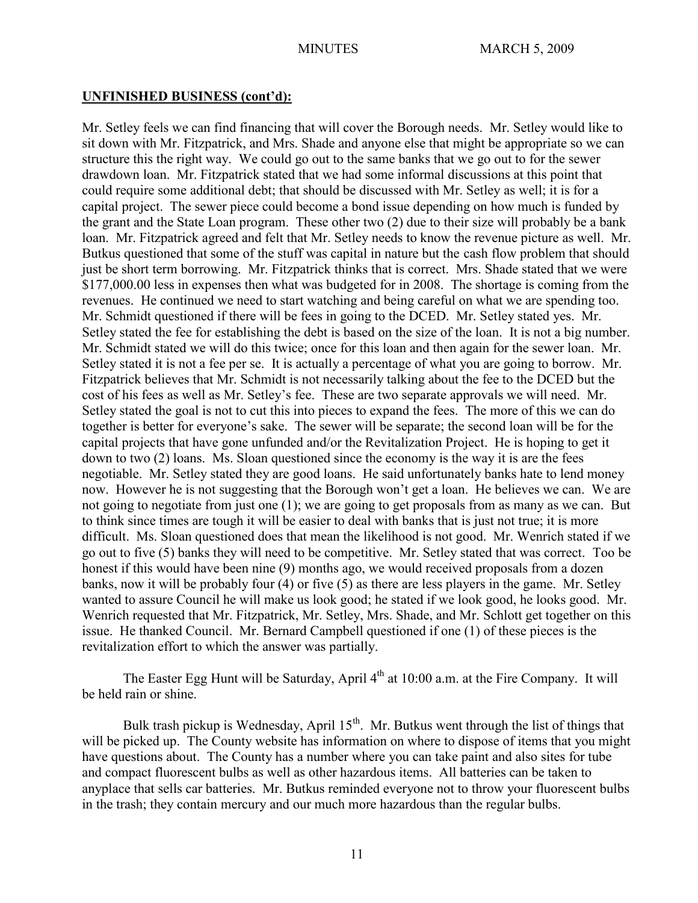## **UNFINISHED BUSINESS (cont'd):**

Mr. Setley feels we can find financing that will cover the Borough needs. Mr. Setley would like to sit down with Mr. Fitzpatrick, and Mrs. Shade and anyone else that might be appropriate so we can structure this the right way. We could go out to the same banks that we go out to for the sewer drawdown loan. Mr. Fitzpatrick stated that we had some informal discussions at this point that could require some additional debt; that should be discussed with Mr. Setley as well; it is for a capital project. The sewer piece could become a bond issue depending on how much is funded by the grant and the State Loan program. These other two (2) due to their size will probably be a bank loan. Mr. Fitzpatrick agreed and felt that Mr. Setley needs to know the revenue picture as well. Mr. Butkus questioned that some of the stuff was capital in nature but the cash flow problem that should just be short term borrowing. Mr. Fitzpatrick thinks that is correct. Mrs. Shade stated that we were \$177,000.00 less in expenses then what was budgeted for in 2008. The shortage is coming from the revenues. He continued we need to start watching and being careful on what we are spending too. Mr. Schmidt questioned if there will be fees in going to the DCED. Mr. Setley stated yes. Mr. Setley stated the fee for establishing the debt is based on the size of the loan. It is not a big number. Mr. Schmidt stated we will do this twice; once for this loan and then again for the sewer loan. Mr. Setley stated it is not a fee per se. It is actually a percentage of what you are going to borrow. Mr. Fitzpatrick believes that Mr. Schmidt is not necessarily talking about the fee to the DCED but the cost of his fees as well as Mr. Setley's fee. These are two separate approvals we will need. Mr. Setley stated the goal is not to cut this into pieces to expand the fees. The more of this we can do together is better for everyone's sake. The sewer will be separate; the second loan will be for the capital projects that have gone unfunded and/or the Revitalization Project. He is hoping to get it down to two (2) loans. Ms. Sloan questioned since the economy is the way it is are the fees negotiable. Mr. Setley stated they are good loans. He said unfortunately banks hate to lend money now. However he is not suggesting that the Borough won't get a loan. He believes we can. We are not going to negotiate from just one (1); we are going to get proposals from as many as we can. But to think since times are tough it will be easier to deal with banks that is just not true; it is more difficult. Ms. Sloan questioned does that mean the likelihood is not good. Mr. Wenrich stated if we go out to five (5) banks they will need to be competitive. Mr. Setley stated that was correct. Too be honest if this would have been nine (9) months ago, we would received proposals from a dozen banks, now it will be probably four (4) or five (5) as there are less players in the game. Mr. Setley wanted to assure Council he will make us look good; he stated if we look good, he looks good. Mr. Wenrich requested that Mr. Fitzpatrick, Mr. Setley, Mrs. Shade, and Mr. Schlott get together on this issue. He thanked Council. Mr. Bernard Campbell questioned if one (1) of these pieces is the revitalization effort to which the answer was partially.

The Easter Egg Hunt will be Saturday, April  $4<sup>th</sup>$  at 10:00 a.m. at the Fire Company. It will be held rain or shine.

Bulk trash pickup is Wednesday, April  $15<sup>th</sup>$ . Mr. Butkus went through the list of things that will be picked up. The County website has information on where to dispose of items that you might have questions about. The County has a number where you can take paint and also sites for tube and compact fluorescent bulbs as well as other hazardous items. All batteries can be taken to anyplace that sells car batteries. Mr. Butkus reminded everyone not to throw your fluorescent bulbs in the trash; they contain mercury and our much more hazardous than the regular bulbs.